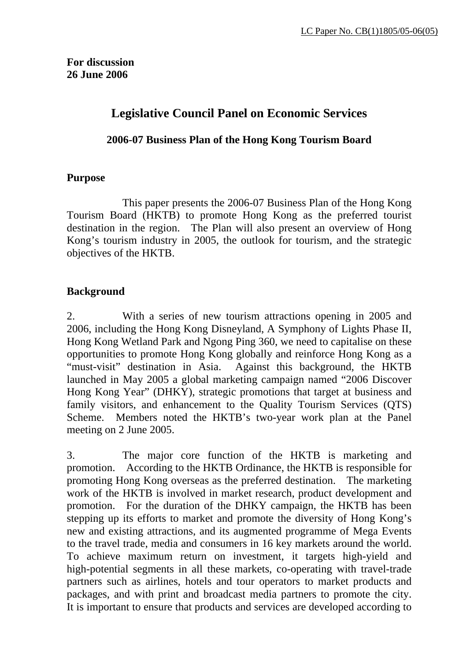## **Legislative Council Panel on Economic Services**

#### **2006-07 Business Plan of the Hong Kong Tourism Board**

#### **Purpose**

 This paper presents the 2006-07 Business Plan of the Hong Kong Tourism Board (HKTB) to promote Hong Kong as the preferred tourist destination in the region. The Plan will also present an overview of Hong Kong's tourism industry in 2005, the outlook for tourism, and the strategic objectives of the HKTB.

#### **Background**

2. With a series of new tourism attractions opening in 2005 and 2006, including the Hong Kong Disneyland, A Symphony of Lights Phase II, Hong Kong Wetland Park and Ngong Ping 360, we need to capitalise on these opportunities to promote Hong Kong globally and reinforce Hong Kong as a "must-visit" destination in Asia. Against this background, the HKTB launched in May 2005 a global marketing campaign named "2006 Discover Hong Kong Year" (DHKY), strategic promotions that target at business and family visitors, and enhancement to the Quality Tourism Services (QTS) Scheme. Members noted the HKTB's two-year work plan at the Panel meeting on 2 June 2005.

3. The major core function of the HKTB is marketing and promotion. According to the HKTB Ordinance, the HKTB is responsible for promoting Hong Kong overseas as the preferred destination. The marketing work of the HKTB is involved in market research, product development and promotion. For the duration of the DHKY campaign, the HKTB has been stepping up its efforts to market and promote the diversity of Hong Kong's new and existing attractions, and its augmented programme of Mega Events to the travel trade, media and consumers in 16 key markets around the world. To achieve maximum return on investment, it targets high-yield and high-potential segments in all these markets, co-operating with travel-trade partners such as airlines, hotels and tour operators to market products and packages, and with print and broadcast media partners to promote the city. It is important to ensure that products and services are developed according to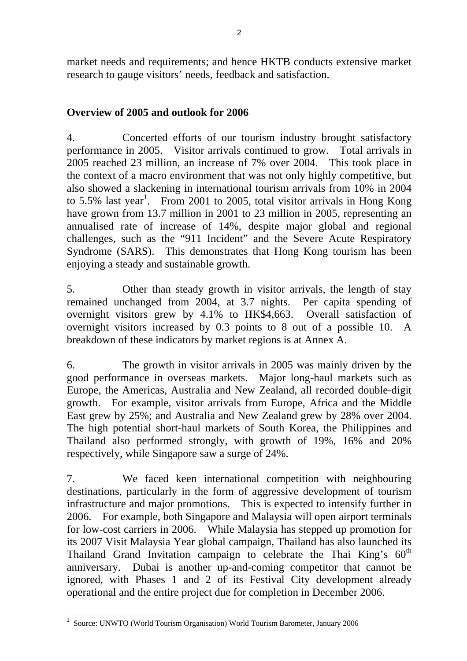market needs and requirements; and hence HKTB conducts extensive market research to gauge visitors' needs, feedback and satisfaction.

## **Overview of 2005 and outlook for 2006**

4. Concerted efforts of our tourism industry brought satisfactory performance in 2005. Visitor arrivals continued to grow. Total arrivals in 2005 reached 23 million, an increase of 7% over 2004. This took place in the context of a macro environment that was not only highly competitive, but also showed a slackening in international tourism arrivals from 10% in 2004 to 5.5% last year<sup>1</sup>. From 2001 to 2005, total visitor arrivals in Hong Kong have grown from 13.7 million in 2001 to 23 million in 2005, representing an annualised rate of increase of 14%, despite major global and regional challenges, such as the "911 Incident" and the Severe Acute Respiratory Syndrome (SARS). This demonstrates that Hong Kong tourism has been enjoying a steady and sustainable growth.

5. Other than steady growth in visitor arrivals, the length of stay remained unchanged from 2004, at 3.7 nights. Per capita spending of overnight visitors grew by 4.1% to HK\$4,663. Overall satisfaction of overnight visitors increased by 0.3 points to 8 out of a possible 10. A breakdown of these indicators by market regions is at Annex A.

6. The growth in visitor arrivals in 2005 was mainly driven by the good performance in overseas markets. Major long-haul markets such as Europe, the Americas, Australia and New Zealand, all recorded double-digit growth. For example, visitor arrivals from Europe, Africa and the Middle East grew by 25%; and Australia and New Zealand grew by 28% over 2004. The high potential short-haul markets of South Korea, the Philippines and Thailand also performed strongly, with growth of 19%, 16% and 20% respectively, while Singapore saw a surge of 24%.

7. We faced keen international competition with neighbouring destinations, particularly in the form of aggressive development of tourism infrastructure and major promotions. This is expected to intensify further in 2006. For example, both Singapore and Malaysia will open airport terminals for low-cost carriers in 2006. While Malaysia has stepped up promotion for its 2007 Visit Malaysia Year global campaign, Thailand has also launched its Thailand Grand Invitation campaign to celebrate the Thai King's  $60<sup>th</sup>$ anniversary. Dubai is another up-and-coming competitor that cannot be ignored, with Phases 1 and 2 of its Festival City development already operational and the entire project due for completion in December 2006.

l <sup>1</sup> Source: UNWTO (World Tourism Organisation) World Tourism Barometer, January 2006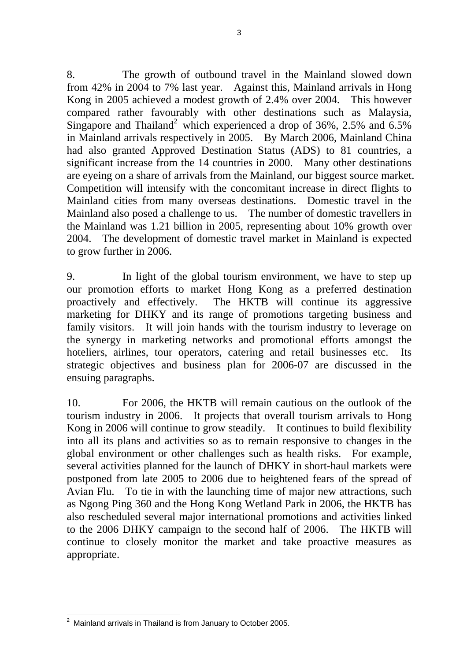8. The growth of outbound travel in the Mainland slowed down from 42% in 2004 to 7% last year. Against this, Mainland arrivals in Hong Kong in 2005 achieved a modest growth of 2.4% over 2004. This however compared rather favourably with other destinations such as Malaysia, Singapore and Thailand<sup>2</sup> which experienced a drop of 36%, 2.5% and 6.5% in Mainland arrivals respectively in 2005. By March 2006, Mainland China had also granted Approved Destination Status (ADS) to 81 countries, a significant increase from the 14 countries in 2000. Many other destinations are eyeing on a share of arrivals from the Mainland, our biggest source market. Competition will intensify with the concomitant increase in direct flights to Mainland cities from many overseas destinations. Domestic travel in the Mainland also posed a challenge to us. The number of domestic travellers in the Mainland was 1.21 billion in 2005, representing about 10% growth over 2004. The development of domestic travel market in Mainland is expected to grow further in 2006.

9. In light of the global tourism environment, we have to step up our promotion efforts to market Hong Kong as a preferred destination proactively and effectively. The HKTB will continue its aggressive marketing for DHKY and its range of promotions targeting business and family visitors. It will join hands with the tourism industry to leverage on the synergy in marketing networks and promotional efforts amongst the hoteliers, airlines, tour operators, catering and retail businesses etc. Its strategic objectives and business plan for 2006-07 are discussed in the ensuing paragraphs.

10. For 2006, the HKTB will remain cautious on the outlook of the tourism industry in 2006. It projects that overall tourism arrivals to Hong Kong in 2006 will continue to grow steadily. It continues to build flexibility into all its plans and activities so as to remain responsive to changes in the global environment or other challenges such as health risks. For example, several activities planned for the launch of DHKY in short-haul markets were postponed from late 2005 to 2006 due to heightened fears of the spread of Avian Flu. To tie in with the launching time of major new attractions, such as Ngong Ping 360 and the Hong Kong Wetland Park in 2006, the HKTB has also rescheduled several major international promotions and activities linked to the 2006 DHKY campaign to the second half of 2006. The HKTB will continue to closely monitor the market and take proactive measures as appropriate.

 2 Mainland arrivals in Thailand is from January to October 2005.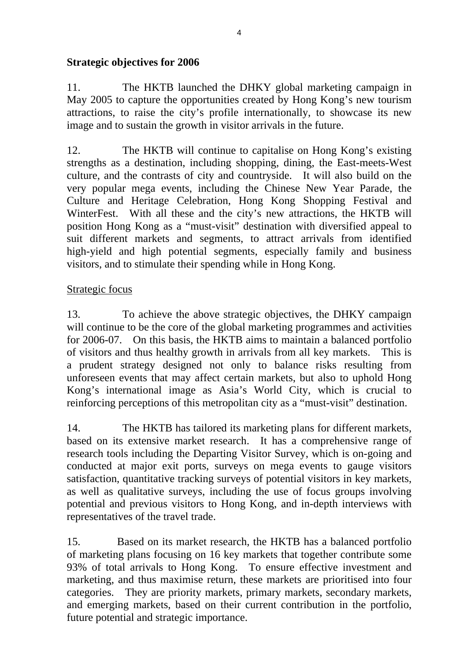## **Strategic objectives for 2006**

11. The HKTB launched the DHKY global marketing campaign in May 2005 to capture the opportunities created by Hong Kong's new tourism attractions, to raise the city's profile internationally, to showcase its new image and to sustain the growth in visitor arrivals in the future.

12. The HKTB will continue to capitalise on Hong Kong's existing strengths as a destination, including shopping, dining, the East-meets-West culture, and the contrasts of city and countryside. It will also build on the very popular mega events, including the Chinese New Year Parade, the Culture and Heritage Celebration, Hong Kong Shopping Festival and WinterFest. With all these and the city's new attractions, the HKTB will position Hong Kong as a "must-visit" destination with diversified appeal to suit different markets and segments, to attract arrivals from identified high-yield and high potential segments, especially family and business visitors, and to stimulate their spending while in Hong Kong.

#### Strategic focus

13. To achieve the above strategic objectives, the DHKY campaign will continue to be the core of the global marketing programmes and activities for 2006-07. On this basis, the HKTB aims to maintain a balanced portfolio of visitors and thus healthy growth in arrivals from all key markets. This is a prudent strategy designed not only to balance risks resulting from unforeseen events that may affect certain markets, but also to uphold Hong Kong's international image as Asia's World City, which is crucial to reinforcing perceptions of this metropolitan city as a "must-visit" destination.

14. The HKTB has tailored its marketing plans for different markets, based on its extensive market research. It has a comprehensive range of research tools including the Departing Visitor Survey, which is on-going and conducted at major exit ports, surveys on mega events to gauge visitors satisfaction, quantitative tracking surveys of potential visitors in key markets, as well as qualitative surveys, including the use of focus groups involving potential and previous visitors to Hong Kong, and in-depth interviews with representatives of the travel trade.

15. Based on its market research, the HKTB has a balanced portfolio of marketing plans focusing on 16 key markets that together contribute some 93% of total arrivals to Hong Kong. To ensure effective investment and marketing, and thus maximise return, these markets are prioritised into four categories. They are priority markets, primary markets, secondary markets, and emerging markets, based on their current contribution in the portfolio, future potential and strategic importance.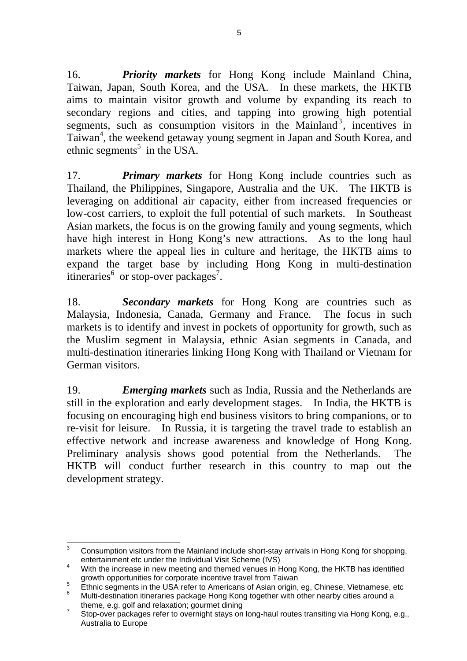16. *Priority markets* for Hong Kong include Mainland China, Taiwan, Japan, South Korea, and the USA. In these markets, the HKTB aims to maintain visitor growth and volume by expanding its reach to secondary regions and cities, and tapping into growing high potential segments, such as consumption visitors in the Mainland<sup>3</sup>, incentives in Taiwan<sup>4</sup>, the weekend getaway young segment in Japan and South Korea, and ethnic segments<sup>5</sup> in the USA.

17. *Primary markets* for Hong Kong include countries such as Thailand, the Philippines, Singapore, Australia and the UK. The HKTB is leveraging on additional air capacity, either from increased frequencies or low-cost carriers, to exploit the full potential of such markets. In Southeast Asian markets, the focus is on the growing family and young segments, which have high interest in Hong Kong's new attractions. As to the long haul markets where the appeal lies in culture and heritage, the HKTB aims to expand the target base by including Hong Kong in multi-destination itineraries<sup>6</sup> or stop-over packages<sup>7</sup>.

18. *Secondary markets* for Hong Kong are countries such as Malaysia, Indonesia, Canada, Germany and France. The focus in such markets is to identify and invest in pockets of opportunity for growth, such as the Muslim segment in Malaysia, ethnic Asian segments in Canada, and multi-destination itineraries linking Hong Kong with Thailand or Vietnam for German visitors.

19. *Emerging markets* such as India, Russia and the Netherlands are still in the exploration and early development stages. In India, the HKTB is focusing on encouraging high end business visitors to bring companions, or to re-visit for leisure. In Russia, it is targeting the travel trade to establish an effective network and increase awareness and knowledge of Hong Kong. Preliminary analysis shows good potential from the Netherlands. The HKTB will conduct further research in this country to map out the development strategy.

<sup>-&</sup>lt;br>3 Consumption visitors from the Mainland include short-stay arrivals in Hong Kong for shopping, entertainment etc under the Individual Visit Scheme (IVS)

With the increase in new meeting and themed venues in Hong Kong, the HKTB has identified growth opportunities for corporate incentive travel from Taiwan

Ethnic segments in the USA refer to Americans of Asian origin, eg, Chinese, Vietnamese, etc  $\frac{6}{5}$ 

Multi-destination itineraries package Hong Kong together with other nearby cities around a theme, e.g. golf and relaxation; gourmet dining

Stop-over packages refer to overnight stays on long-haul routes transiting via Hong Kong, e.g., Australia to Europe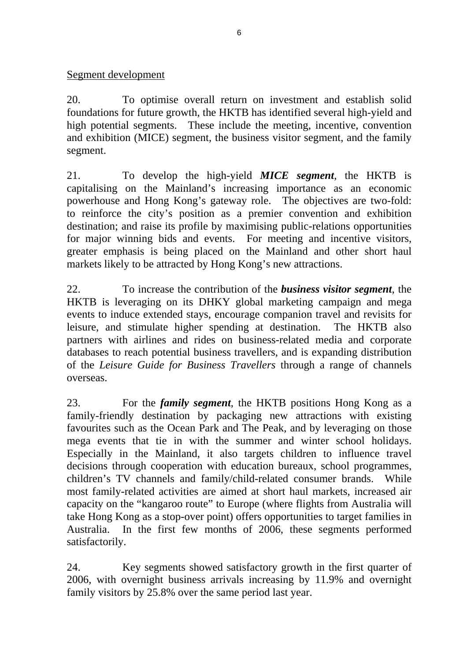#### Segment development

20. To optimise overall return on investment and establish solid foundations for future growth, the HKTB has identified several high-yield and high potential segments. These include the meeting, incentive, convention and exhibition (MICE) segment, the business visitor segment, and the family segment.

21. To develop the high-yield *MICE segment*, the HKTB is capitalising on the Mainland's increasing importance as an economic powerhouse and Hong Kong's gateway role. The objectives are two-fold: to reinforce the city's position as a premier convention and exhibition destination; and raise its profile by maximising public-relations opportunities for major winning bids and events. For meeting and incentive visitors, greater emphasis is being placed on the Mainland and other short haul markets likely to be attracted by Hong Kong's new attractions.

22. To increase the contribution of the *business visitor segment*, the HKTB is leveraging on its DHKY global marketing campaign and mega events to induce extended stays, encourage companion travel and revisits for leisure, and stimulate higher spending at destination. The HKTB also partners with airlines and rides on business-related media and corporate databases to reach potential business travellers, and is expanding distribution of the *Leisure Guide for Business Travellers* through a range of channels overseas.

23. For the *family segment*, the HKTB positions Hong Kong as a family-friendly destination by packaging new attractions with existing favourites such as the Ocean Park and The Peak, and by leveraging on those mega events that tie in with the summer and winter school holidays. Especially in the Mainland, it also targets children to influence travel decisions through cooperation with education bureaux, school programmes, children's TV channels and family/child-related consumer brands. While most family-related activities are aimed at short haul markets, increased air capacity on the "kangaroo route" to Europe (where flights from Australia will take Hong Kong as a stop-over point) offers opportunities to target families in Australia. In the first few months of 2006, these segments performed satisfactorily.

24. Key segments showed satisfactory growth in the first quarter of 2006, with overnight business arrivals increasing by 11.9% and overnight family visitors by 25.8% over the same period last year.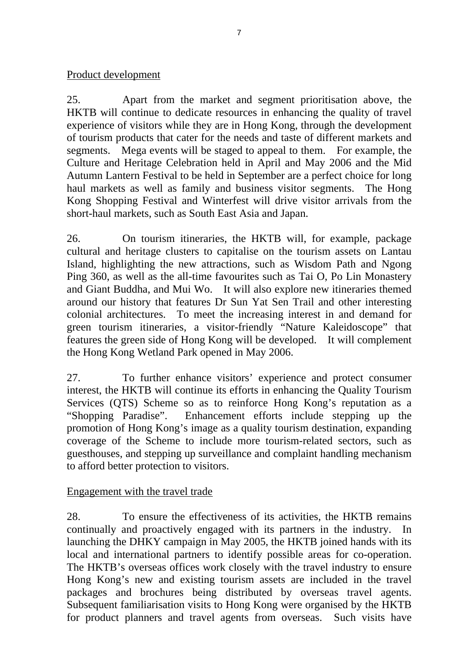#### Product development

25. Apart from the market and segment prioritisation above, the HKTB will continue to dedicate resources in enhancing the quality of travel experience of visitors while they are in Hong Kong, through the development of tourism products that cater for the needs and taste of different markets and segments. Mega events will be staged to appeal to them. For example, the Culture and Heritage Celebration held in April and May 2006 and the Mid Autumn Lantern Festival to be held in September are a perfect choice for long haul markets as well as family and business visitor segments. The Hong Kong Shopping Festival and Winterfest will drive visitor arrivals from the short-haul markets, such as South East Asia and Japan.

26. On tourism itineraries, the HKTB will, for example, package cultural and heritage clusters to capitalise on the tourism assets on Lantau Island, highlighting the new attractions, such as Wisdom Path and Ngong Ping 360, as well as the all-time favourites such as Tai O, Po Lin Monastery and Giant Buddha, and Mui Wo. It will also explore new itineraries themed around our history that features Dr Sun Yat Sen Trail and other interesting colonial architectures. To meet the increasing interest in and demand for green tourism itineraries, a visitor-friendly "Nature Kaleidoscope" that features the green side of Hong Kong will be developed. It will complement the Hong Kong Wetland Park opened in May 2006.

27. To further enhance visitors' experience and protect consumer interest, the HKTB will continue its efforts in enhancing the Quality Tourism Services (QTS) Scheme so as to reinforce Hong Kong's reputation as a "Shopping Paradise". Enhancement efforts include stepping up the promotion of Hong Kong's image as a quality tourism destination, expanding coverage of the Scheme to include more tourism-related sectors, such as guesthouses, and stepping up surveillance and complaint handling mechanism to afford better protection to visitors.

#### Engagement with the travel trade

28. To ensure the effectiveness of its activities, the HKTB remains continually and proactively engaged with its partners in the industry. In launching the DHKY campaign in May 2005, the HKTB joined hands with its local and international partners to identify possible areas for co-operation. The HKTB's overseas offices work closely with the travel industry to ensure Hong Kong's new and existing tourism assets are included in the travel packages and brochures being distributed by overseas travel agents. Subsequent familiarisation visits to Hong Kong were organised by the HKTB for product planners and travel agents from overseas. Such visits have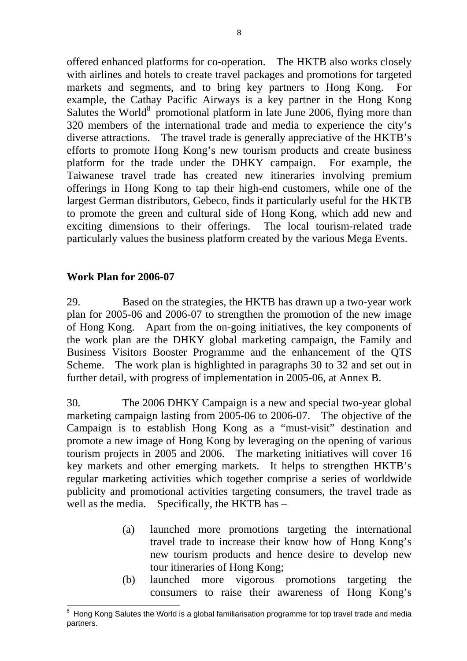offered enhanced platforms for co-operation. The HKTB also works closely with airlines and hotels to create travel packages and promotions for targeted markets and segments, and to bring key partners to Hong Kong. For example, the Cathay Pacific Airways is a key partner in the Hong Kong Salutes the World $8$  promotional platform in late June 2006, flying more than 320 members of the international trade and media to experience the city's diverse attractions. The travel trade is generally appreciative of the HKTB's efforts to promote Hong Kong's new tourism products and create business platform for the trade under the DHKY campaign. For example, the Taiwanese travel trade has created new itineraries involving premium offerings in Hong Kong to tap their high-end customers, while one of the largest German distributors, Gebeco, finds it particularly useful for the HKTB to promote the green and cultural side of Hong Kong, which add new and exciting dimensions to their offerings. The local tourism-related trade particularly values the business platform created by the various Mega Events.

#### **Work Plan for 2006-07**

29. Based on the strategies, the HKTB has drawn up a two-year work plan for 2005-06 and 2006-07 to strengthen the promotion of the new image of Hong Kong. Apart from the on-going initiatives, the key components of the work plan are the DHKY global marketing campaign, the Family and Business Visitors Booster Programme and the enhancement of the QTS Scheme. The work plan is highlighted in paragraphs 30 to 32 and set out in further detail, with progress of implementation in 2005-06, at Annex B.

30. The 2006 DHKY Campaign is a new and special two-year global marketing campaign lasting from 2005-06 to 2006-07. The objective of the Campaign is to establish Hong Kong as a "must-visit" destination and promote a new image of Hong Kong by leveraging on the opening of various tourism projects in 2005 and 2006. The marketing initiatives will cover 16 key markets and other emerging markets. It helps to strengthen HKTB's regular marketing activities which together comprise a series of worldwide publicity and promotional activities targeting consumers, the travel trade as well as the media. Specifically, the HKTB has –

- (a) launched more promotions targeting the international travel trade to increase their know how of Hong Kong's new tourism products and hence desire to develop new tour itineraries of Hong Kong;
- (b) launched more vigorous promotions targeting the consumers to raise their awareness of Hong Kong's

l  $8$  Hong Kong Salutes the World is a global familiarisation programme for top travel trade and media partners.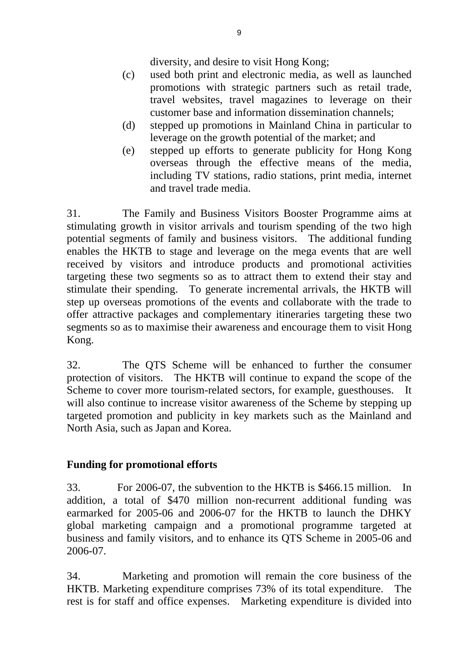diversity, and desire to visit Hong Kong;

- (c) used both print and electronic media, as well as launched promotions with strategic partners such as retail trade, travel websites, travel magazines to leverage on their customer base and information dissemination channels;
- (d) stepped up promotions in Mainland China in particular to leverage on the growth potential of the market; and
- (e) stepped up efforts to generate publicity for Hong Kong overseas through the effective means of the media, including TV stations, radio stations, print media, internet and travel trade media.

31. The Family and Business Visitors Booster Programme aims at stimulating growth in visitor arrivals and tourism spending of the two high potential segments of family and business visitors. The additional funding enables the HKTB to stage and leverage on the mega events that are well received by visitors and introduce products and promotional activities targeting these two segments so as to attract them to extend their stay and stimulate their spending. To generate incremental arrivals, the HKTB will step up overseas promotions of the events and collaborate with the trade to offer attractive packages and complementary itineraries targeting these two segments so as to maximise their awareness and encourage them to visit Hong Kong.

32. The QTS Scheme will be enhanced to further the consumer protection of visitors. The HKTB will continue to expand the scope of the Scheme to cover more tourism-related sectors, for example, guesthouses. It will also continue to increase visitor awareness of the Scheme by stepping up targeted promotion and publicity in key markets such as the Mainland and North Asia, such as Japan and Korea.

## **Funding for promotional efforts**

33. For 2006-07, the subvention to the HKTB is \$466.15 million. In addition, a total of \$470 million non-recurrent additional funding was earmarked for 2005-06 and 2006-07 for the HKTB to launch the DHKY global marketing campaign and a promotional programme targeted at business and family visitors, and to enhance its QTS Scheme in 2005-06 and 2006-07.

34. Marketing and promotion will remain the core business of the HKTB. Marketing expenditure comprises 73% of its total expenditure. The rest is for staff and office expenses. Marketing expenditure is divided into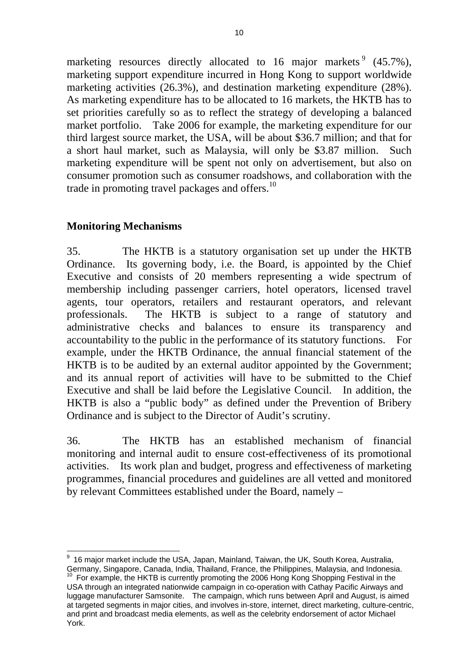marketing resources directly allocated to 16 major markets  $9(45.7\%)$ , marketing support expenditure incurred in Hong Kong to support worldwide marketing activities (26.3%), and destination marketing expenditure (28%). As marketing expenditure has to be allocated to 16 markets, the HKTB has to set priorities carefully so as to reflect the strategy of developing a balanced market portfolio. Take 2006 for example, the marketing expenditure for our third largest source market, the USA, will be about \$36.7 million; and that for a short haul market, such as Malaysia, will only be \$3.87 million. Such marketing expenditure will be spent not only on advertisement, but also on consumer promotion such as consumer roadshows, and collaboration with the trade in promoting travel packages and offers.<sup>10</sup>

## **Monitoring Mechanisms**

35. The HKTB is a statutory organisation set up under the HKTB Ordinance. Its governing body, i.e. the Board, is appointed by the Chief Executive and consists of 20 members representing a wide spectrum of membership including passenger carriers, hotel operators, licensed travel agents, tour operators, retailers and restaurant operators, and relevant professionals. The HKTB is subject to a range of statutory and administrative checks and balances to ensure its transparency and accountability to the public in the performance of its statutory functions. For example, under the HKTB Ordinance, the annual financial statement of the HKTB is to be audited by an external auditor appointed by the Government; and its annual report of activities will have to be submitted to the Chief Executive and shall be laid before the Legislative Council. In addition, the HKTB is also a "public body" as defined under the Prevention of Bribery Ordinance and is subject to the Director of Audit's scrutiny.

36. The HKTB has an established mechanism of financial monitoring and internal audit to ensure cost-effectiveness of its promotional activities. Its work plan and budget, progress and effectiveness of marketing programmes, financial procedures and guidelines are all vetted and monitored by relevant Committees established under the Board, namely –

 9 16 major market include the USA, Japan, Mainland, Taiwan, the UK, South Korea, Australia, Germany, Singapore, Canada, India, Thailand, France, the Philippines, Malaysia, and Indonesia.<br><sup>10</sup> For example, the HKTB is currently promoting the 2006 Hong Kong Shopping Festival in the

USA through an integrated nationwide campaign in co-operation with Cathay Pacific Airways and luggage manufacturer Samsonite. The campaign, which runs between April and August, is aimed at targeted segments in major cities, and involves in-store, internet, direct marketing, culture-centric, and print and broadcast media elements, as well as the celebrity endorsement of actor Michael York.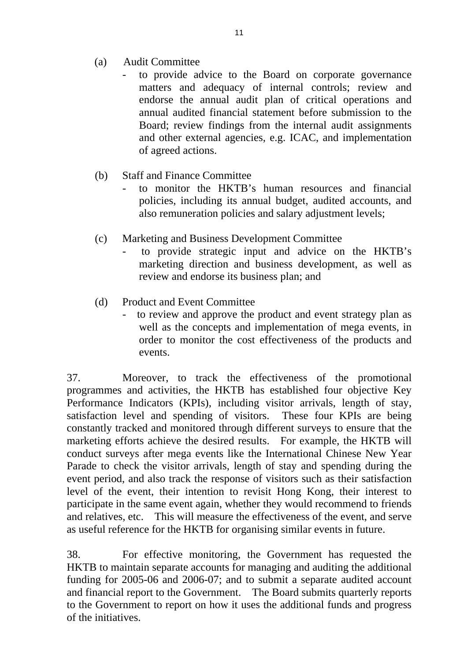- (a) Audit Committee
	- to provide advice to the Board on corporate governance matters and adequacy of internal controls; review and endorse the annual audit plan of critical operations and annual audited financial statement before submission to the Board; review findings from the internal audit assignments and other external agencies, e.g. ICAC, and implementation of agreed actions.
- (b) Staff and Finance Committee
	- to monitor the HKTB's human resources and financial policies, including its annual budget, audited accounts, and also remuneration policies and salary adjustment levels;
- (c) Marketing and Business Development Committee
	- to provide strategic input and advice on the HKTB's marketing direction and business development, as well as review and endorse its business plan; and
- (d) Product and Event Committee
	- to review and approve the product and event strategy plan as well as the concepts and implementation of mega events, in order to monitor the cost effectiveness of the products and events.

37. Moreover, to track the effectiveness of the promotional programmes and activities, the HKTB has established four objective Key Performance Indicators (KPIs), including visitor arrivals, length of stay, satisfaction level and spending of visitors. These four KPIs are being constantly tracked and monitored through different surveys to ensure that the marketing efforts achieve the desired results. For example, the HKTB will conduct surveys after mega events like the International Chinese New Year Parade to check the visitor arrivals, length of stay and spending during the event period, and also track the response of visitors such as their satisfaction level of the event, their intention to revisit Hong Kong, their interest to participate in the same event again, whether they would recommend to friends and relatives, etc. This will measure the effectiveness of the event, and serve as useful reference for the HKTB for organising similar events in future.

38. For effective monitoring, the Government has requested the HKTB to maintain separate accounts for managing and auditing the additional funding for 2005-06 and 2006-07; and to submit a separate audited account and financial report to the Government. The Board submits quarterly reports to the Government to report on how it uses the additional funds and progress of the initiatives.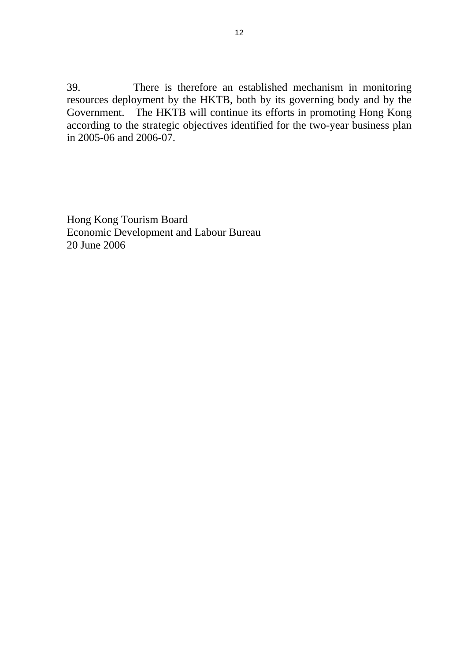39. There is therefore an established mechanism in monitoring resources deployment by the HKTB, both by its governing body and by the Government. The HKTB will continue its efforts in promoting Hong Kong according to the strategic objectives identified for the two-year business plan in 2005-06 and 2006-07.

Hong Kong Tourism Board Economic Development and Labour Bureau 20 June 2006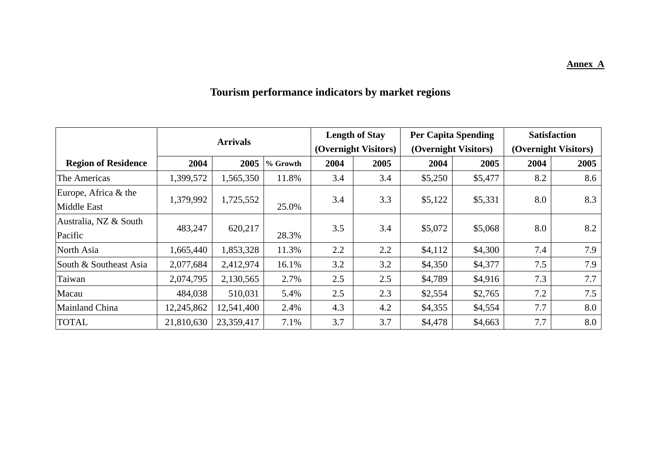# **Tourism performance indicators by market regions**

|                            |            |                 |          | <b>Length of Stay</b> |                      | <b>Per Capita Spending</b> | <b>Satisfaction</b>  |                      |      |
|----------------------------|------------|-----------------|----------|-----------------------|----------------------|----------------------------|----------------------|----------------------|------|
|                            |            | <b>Arrivals</b> |          |                       | (Overnight Visitors) |                            | (Overnight Visitors) | (Overnight Visitors) |      |
| <b>Region of Residence</b> | 2004       | 2005            | % Growth | 2004                  | 2005                 | 2004                       | 2005                 | 2004                 | 2005 |
| The Americas               | 1,399,572  | 1,565,350       | 11.8%    | 3.4                   | 3.4                  | \$5,250                    | \$5,477              | 8.2                  | 8.6  |
| Europe, Africa & the       | 1,379,992  | 1,725,552       |          | 3.4                   | 3.3                  | \$5,122                    | \$5,331              | 8.0                  | 8.3  |
| <b>Middle East</b>         |            |                 | 25.0%    |                       |                      |                            |                      |                      |      |
| Australia, NZ & South      | 483,247    | 620,217         |          | 3.5                   | 3.4                  | \$5,072                    | \$5,068              | 8.0                  | 8.2  |
| Pacific                    |            |                 | 28.3%    |                       |                      |                            |                      |                      |      |
| North Asia                 | 1,665,440  | 1,853,328       | 11.3%    | 2.2                   | 2.2                  | \$4,112                    | \$4,300              | 7.4                  | 7.9  |
| South & Southeast Asia     | 2,077,684  | 2,412,974       | 16.1%    | 3.2                   | 3.2                  | \$4,350                    | \$4,377              | 7.5                  | 7.9  |
| Taiwan                     | 2,074,795  | 2,130,565       | 2.7%     | 2.5                   | 2.5                  | \$4,789                    | \$4,916              | 7.3                  | 7.7  |
| Macau                      | 484,038    | 510,031         | 5.4%     | 2.5                   | 2.3                  | \$2,554                    | \$2,765              | 7.2                  | 7.5  |
| Mainland China             | 12,245,862 | 12,541,400      | 2.4%     | 4.3                   | 4.2                  | \$4,355                    | \$4,554              | 7.7                  | 8.0  |
| <b>TOTAL</b>               | 21,810,630 | 23,359,417      | 7.1%     | 3.7                   | 3.7                  | \$4,478                    | \$4,663              | 7.7                  | 8.0  |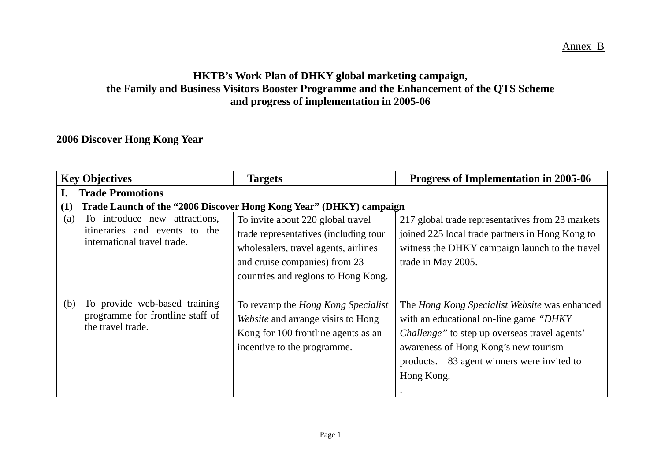## **HKTB's Work Plan of DHKY global marketing campaign, the Family and Business Visitors Booster Programme and the Enhancement of the QTS Scheme and progress of implementation in 2005-06**

## **2006 Discover Hong Kong Year**

| <b>Key Objectives</b>                | <b>Targets</b>                                                     | Progress of Implementation in 2005-06                 |
|--------------------------------------|--------------------------------------------------------------------|-------------------------------------------------------|
| <b>Trade Promotions</b>              |                                                                    |                                                       |
| (1)                                  | Trade Launch of the "2006 Discover Hong Kong Year" (DHKY) campaign |                                                       |
| To introduce new attractions,<br>(a) | To invite about 220 global travel                                  | 217 global trade representatives from 23 markets      |
| itineraries and events to the        | trade representatives (including tour                              | joined 225 local trade partners in Hong Kong to       |
| international travel trade.          | wholesalers, travel agents, airlines                               | witness the DHKY campaign launch to the travel        |
|                                      | and cruise companies) from 23                                      | trade in May 2005.                                    |
|                                      | countries and regions to Hong Kong.                                |                                                       |
|                                      |                                                                    |                                                       |
| To provide web-based training<br>(b) | To revamp the <i>Hong Kong Specialist</i>                          | The Hong Kong Specialist Website was enhanced         |
| programme for frontline staff of     | Website and arrange visits to Hong                                 | with an educational on-line game "DHKY"               |
| the travel trade.                    | Kong for 100 frontline agents as an                                | <i>Challenge</i> " to step up overseas travel agents' |
|                                      | incentive to the programme.                                        | awareness of Hong Kong's new tourism                  |
|                                      |                                                                    | 83 agent winners were invited to<br>products.         |
|                                      |                                                                    | Hong Kong.                                            |
|                                      |                                                                    |                                                       |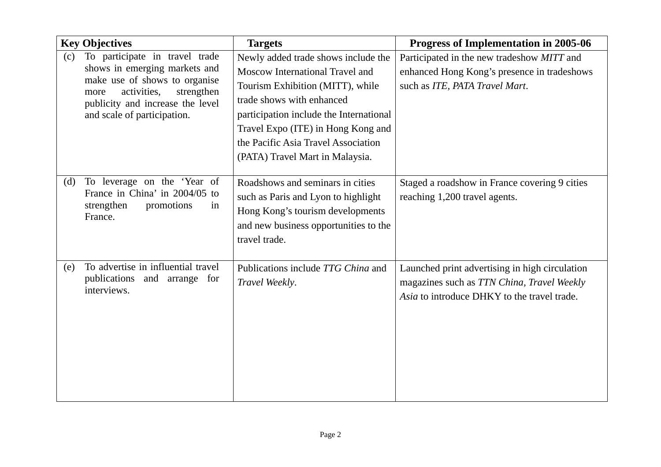|     | <b>Key Objectives</b>                                                                                                                                                                                    | <b>Targets</b>                                                                                                                                                                                                                                                                                     | Progress of Implementation in 2005-06                                                                                                       |
|-----|----------------------------------------------------------------------------------------------------------------------------------------------------------------------------------------------------------|----------------------------------------------------------------------------------------------------------------------------------------------------------------------------------------------------------------------------------------------------------------------------------------------------|---------------------------------------------------------------------------------------------------------------------------------------------|
| (c) | To participate in travel trade<br>shows in emerging markets and<br>make use of shows to organise<br>activities,<br>strengthen<br>more<br>publicity and increase the level<br>and scale of participation. | Newly added trade shows include the<br>Moscow International Travel and<br>Tourism Exhibition (MITT), while<br>trade shows with enhanced<br>participation include the International<br>Travel Expo (ITE) in Hong Kong and<br>the Pacific Asia Travel Association<br>(PATA) Travel Mart in Malaysia. | Participated in the new tradeshow MITT and<br>enhanced Hong Kong's presence in tradeshows<br>such as ITE, PATA Travel Mart.                 |
| (d) | To leverage on the 'Year of<br>France in China' in 2004/05 to<br>strengthen<br>promotions<br>in<br>France.                                                                                               | Roadshows and seminars in cities<br>such as Paris and Lyon to highlight<br>Hong Kong's tourism developments<br>and new business opportunities to the<br>travel trade.                                                                                                                              | Staged a roadshow in France covering 9 cities<br>reaching 1,200 travel agents.                                                              |
| (e) | To advertise in influential travel<br>publications and arrange for<br>interviews.                                                                                                                        | Publications include TTG China and<br>Travel Weekly.                                                                                                                                                                                                                                               | Launched print advertising in high circulation<br>magazines such as TTN China, Travel Weekly<br>Asia to introduce DHKY to the travel trade. |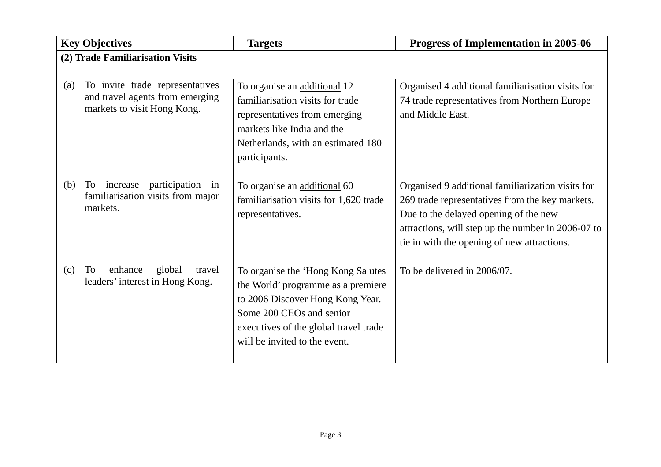|     | <b>Key Objectives</b>                                                                             | <b>Targets</b>                                                                                                                                                                                                     | Progress of Implementation in 2005-06                                                                                                                                                                                                              |
|-----|---------------------------------------------------------------------------------------------------|--------------------------------------------------------------------------------------------------------------------------------------------------------------------------------------------------------------------|----------------------------------------------------------------------------------------------------------------------------------------------------------------------------------------------------------------------------------------------------|
|     | (2) Trade Familiarisation Visits                                                                  |                                                                                                                                                                                                                    |                                                                                                                                                                                                                                                    |
| (a) | To invite trade representatives<br>and travel agents from emerging<br>markets to visit Hong Kong. | To organise an additional 12<br>familiarisation visits for trade<br>representatives from emerging<br>markets like India and the<br>Netherlands, with an estimated 180<br>participants.                             | Organised 4 additional familiarisation visits for<br>74 trade representatives from Northern Europe<br>and Middle East.                                                                                                                             |
| (b) | participation<br>To<br>increase<br>in<br>familiarisation visits from major<br>markets.            | To organise an additional 60<br>familiarisation visits for 1,620 trade<br>representatives.                                                                                                                         | Organised 9 additional familiarization visits for<br>269 trade representatives from the key markets.<br>Due to the delayed opening of the new<br>attractions, will step up the number in 2006-07 to<br>tie in with the opening of new attractions. |
| (c) | To<br>enhance<br>global<br>travel<br>leaders' interest in Hong Kong.                              | To organise the 'Hong Kong Salutes<br>the World' programme as a premiere<br>to 2006 Discover Hong Kong Year.<br>Some 200 CEOs and senior<br>executives of the global travel trade<br>will be invited to the event. | To be delivered in 2006/07.                                                                                                                                                                                                                        |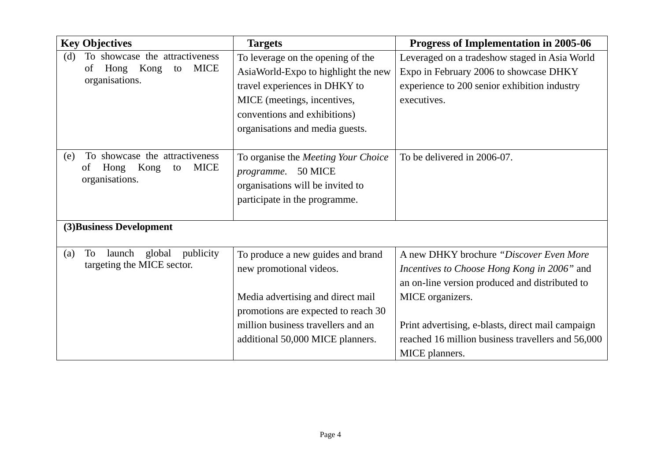| <b>Key Objectives</b>                                                                              | <b>Targets</b>                                                                                                                                                                                                     | Progress of Implementation in 2005-06                                                                                                                                                                                                                                                     |
|----------------------------------------------------------------------------------------------------|--------------------------------------------------------------------------------------------------------------------------------------------------------------------------------------------------------------------|-------------------------------------------------------------------------------------------------------------------------------------------------------------------------------------------------------------------------------------------------------------------------------------------|
| To showcase the attractiveness<br>(d)<br>Kong<br><b>MICE</b><br>Hong<br>of<br>to<br>organisations. | To leverage on the opening of the<br>AsiaWorld-Expo to highlight the new<br>travel experiences in DHKY to<br>MICE (meetings, incentives,<br>conventions and exhibitions)<br>organisations and media guests.        | Leveraged on a tradeshow staged in Asia World<br>Expo in February 2006 to showcase DHKY<br>experience to 200 senior exhibition industry<br>executives.                                                                                                                                    |
| To showcase the attractiveness<br>(e)<br>Kong<br>Hong<br><b>MICE</b><br>to<br>of<br>organisations. | To organise the Meeting Your Choice<br>programme. 50 MICE<br>organisations will be invited to<br>participate in the programme.                                                                                     | To be delivered in 2006-07.                                                                                                                                                                                                                                                               |
| (3) Business Development                                                                           |                                                                                                                                                                                                                    |                                                                                                                                                                                                                                                                                           |
| launch<br>global<br>To<br>publicity<br>(a)<br>targeting the MICE sector.                           | To produce a new guides and brand<br>new promotional videos.<br>Media advertising and direct mail<br>promotions are expected to reach 30<br>million business travellers and an<br>additional 50,000 MICE planners. | A new DHKY brochure "Discover Even More"<br>Incentives to Choose Hong Kong in 2006" and<br>an on-line version produced and distributed to<br>MICE organizers.<br>Print advertising, e-blasts, direct mail campaign<br>reached 16 million business travellers and 56,000<br>MICE planners. |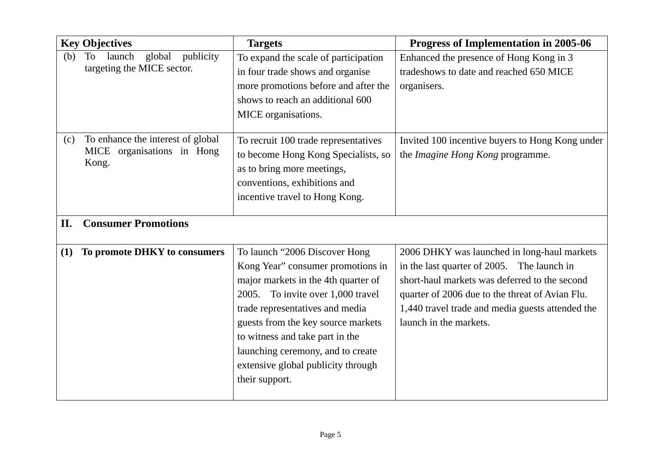| <b>Key Objectives</b>                                                              | <b>Targets</b>                                                                                                                                                                                                                                                                                                                                          | Progress of Implementation in 2005-06                                                                                                                                                                                                                                       |
|------------------------------------------------------------------------------------|---------------------------------------------------------------------------------------------------------------------------------------------------------------------------------------------------------------------------------------------------------------------------------------------------------------------------------------------------------|-----------------------------------------------------------------------------------------------------------------------------------------------------------------------------------------------------------------------------------------------------------------------------|
| <b>To</b><br>launch<br>global<br>publicity<br>(b)<br>targeting the MICE sector.    | To expand the scale of participation<br>in four trade shows and organise<br>more promotions before and after the<br>shows to reach an additional 600<br>MICE organisations.                                                                                                                                                                             | Enhanced the presence of Hong Kong in 3<br>tradeshows to date and reached 650 MICE<br>organisers.                                                                                                                                                                           |
| To enhance the interest of global<br>(c)<br>MICE<br>organisations in Hong<br>Kong. | To recruit 100 trade representatives<br>to become Hong Kong Specialists, so<br>as to bring more meetings,<br>conventions, exhibitions and<br>incentive travel to Hong Kong.                                                                                                                                                                             | Invited 100 incentive buyers to Hong Kong under<br>the <i>Imagine Hong Kong</i> programme.                                                                                                                                                                                  |
| <b>Consumer Promotions</b><br>II.                                                  |                                                                                                                                                                                                                                                                                                                                                         |                                                                                                                                                                                                                                                                             |
| To promote DHKY to consumers<br>(1)                                                | To launch "2006 Discover Hong<br>Kong Year" consumer promotions in<br>major markets in the 4th quarter of<br>2005. To invite over 1,000 travel<br>trade representatives and media<br>guests from the key source markets<br>to witness and take part in the<br>launching ceremony, and to create<br>extensive global publicity through<br>their support. | 2006 DHKY was launched in long-haul markets<br>in the last quarter of 2005. The launch in<br>short-haul markets was deferred to the second<br>quarter of 2006 due to the threat of Avian Flu.<br>1,440 travel trade and media guests attended the<br>launch in the markets. |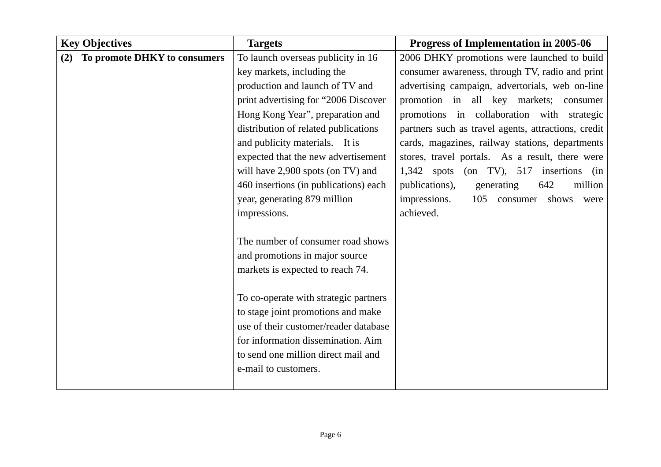| <b>Key Objectives</b>               | <b>Targets</b>                        | Progress of Implementation in 2005-06               |
|-------------------------------------|---------------------------------------|-----------------------------------------------------|
| To promote DHKY to consumers<br>(2) | To launch overseas publicity in 16    | 2006 DHKY promotions were launched to build         |
|                                     | key markets, including the            | consumer awareness, through TV, radio and print     |
|                                     | production and launch of TV and       | advertising campaign, advertorials, web on-line     |
|                                     | print advertising for "2006 Discover  | promotion in all key markets; consumer              |
|                                     | Hong Kong Year", preparation and      | promotions in collaboration with strategic          |
|                                     | distribution of related publications  | partners such as travel agents, attractions, credit |
|                                     | and publicity materials. It is        | cards, magazines, railway stations, departments     |
|                                     | expected that the new advertisement   | stores, travel portals. As a result, there were     |
|                                     | will have 2,900 spots (on TV) and     | $1,342$ spots<br>(on TV), $517$ insertions (in      |
|                                     | 460 insertions (in publications) each | publications),<br>generating<br>642<br>million      |
|                                     | year, generating 879 million          | impressions.<br>105<br>shows<br>consumer<br>were    |
|                                     | impressions.                          | achieved.                                           |
|                                     |                                       |                                                     |
|                                     | The number of consumer road shows     |                                                     |
|                                     | and promotions in major source        |                                                     |
|                                     | markets is expected to reach 74.      |                                                     |
|                                     |                                       |                                                     |
|                                     | To co-operate with strategic partners |                                                     |
|                                     | to stage joint promotions and make    |                                                     |
|                                     | use of their customer/reader database |                                                     |
|                                     | for information dissemination. Aim    |                                                     |
|                                     | to send one million direct mail and   |                                                     |
|                                     | e-mail to customers.                  |                                                     |
|                                     |                                       |                                                     |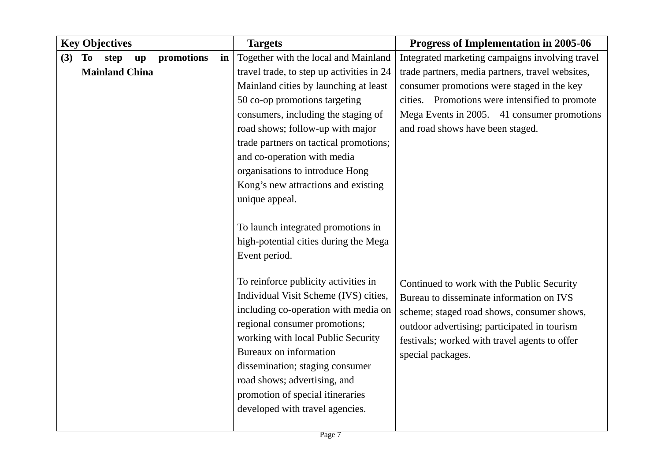| <b>Key Objectives</b>                                           | <b>Targets</b>                                                                | Progress of Implementation in 2005-06            |
|-----------------------------------------------------------------|-------------------------------------------------------------------------------|--------------------------------------------------|
| (3)<br>To<br>promotions<br>step<br>in<br>$\mathbf{u}\mathbf{p}$ | Together with the local and Mainland                                          | Integrated marketing campaigns involving travel  |
| <b>Mainland China</b>                                           | travel trade, to step up activities in 24                                     | trade partners, media partners, travel websites, |
|                                                                 | Mainland cities by launching at least                                         | consumer promotions were staged in the key       |
|                                                                 | 50 co-op promotions targeting                                                 | cities. Promotions were intensified to promote   |
|                                                                 | consumers, including the staging of                                           | Mega Events in 2005. 41 consumer promotions      |
|                                                                 | road shows; follow-up with major                                              | and road shows have been staged.                 |
|                                                                 | trade partners on tactical promotions;                                        |                                                  |
|                                                                 | and co-operation with media                                                   |                                                  |
|                                                                 | organisations to introduce Hong                                               |                                                  |
|                                                                 | Kong's new attractions and existing                                           |                                                  |
|                                                                 | unique appeal.                                                                |                                                  |
|                                                                 |                                                                               |                                                  |
|                                                                 | To launch integrated promotions in                                            |                                                  |
|                                                                 | high-potential cities during the Mega                                         |                                                  |
|                                                                 | Event period.                                                                 |                                                  |
|                                                                 |                                                                               |                                                  |
|                                                                 | To reinforce publicity activities in<br>Individual Visit Scheme (IVS) cities, | Continued to work with the Public Security       |
|                                                                 | including co-operation with media on                                          | Bureau to disseminate information on IVS         |
|                                                                 | regional consumer promotions;                                                 | scheme; staged road shows, consumer shows,       |
|                                                                 | working with local Public Security                                            | outdoor advertising; participated in tourism     |
|                                                                 | Bureaux on information                                                        | festivals; worked with travel agents to offer    |
|                                                                 | dissemination; staging consumer                                               | special packages.                                |
|                                                                 | road shows; advertising, and                                                  |                                                  |
|                                                                 | promotion of special itineraries                                              |                                                  |
|                                                                 | developed with travel agencies.                                               |                                                  |
|                                                                 |                                                                               |                                                  |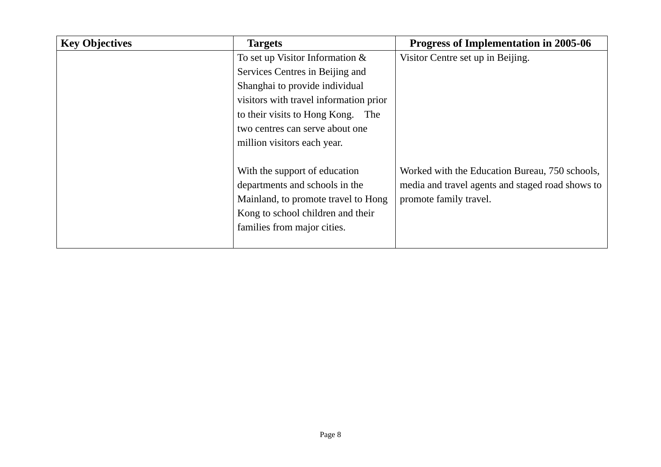| <b>Key Objectives</b> | <b>Targets</b>                         | <b>Progress of Implementation in 2005-06</b>     |
|-----------------------|----------------------------------------|--------------------------------------------------|
|                       | To set up Visitor Information $\&$     | Visitor Centre set up in Beijing.                |
|                       | Services Centres in Beijing and        |                                                  |
|                       | Shanghai to provide individual         |                                                  |
|                       | visitors with travel information prior |                                                  |
|                       | to their visits to Hong Kong.<br>The   |                                                  |
|                       | two centres can serve about one        |                                                  |
|                       | million visitors each year.            |                                                  |
|                       |                                        |                                                  |
|                       | With the support of education          | Worked with the Education Bureau, 750 schools,   |
|                       | departments and schools in the         | media and travel agents and staged road shows to |
|                       | Mainland, to promote travel to Hong    | promote family travel.                           |
|                       | Kong to school children and their      |                                                  |
|                       | families from major cities.            |                                                  |
|                       |                                        |                                                  |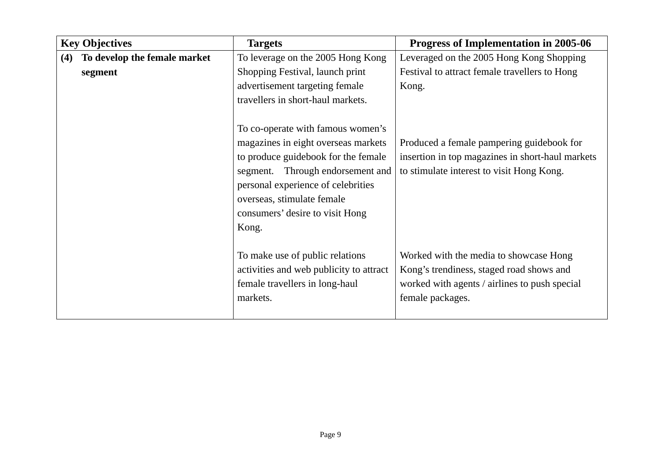|     | <b>Key Objectives</b>                   | <b>Targets</b>                                                                                                                                                                                                                                                         | Progress of Implementation in 2005-06                                                                                                                   |
|-----|-----------------------------------------|------------------------------------------------------------------------------------------------------------------------------------------------------------------------------------------------------------------------------------------------------------------------|---------------------------------------------------------------------------------------------------------------------------------------------------------|
| (4) | To develop the female market<br>segment | To leverage on the 2005 Hong Kong<br>Shopping Festival, launch print<br>advertisement targeting female<br>travellers in short-haul markets.                                                                                                                            | Leveraged on the 2005 Hong Kong Shopping<br>Festival to attract female travellers to Hong<br>Kong.                                                      |
|     |                                         | To co-operate with famous women's<br>magazines in eight overseas markets<br>to produce guidebook for the female<br>Through endorsement and<br>segment.<br>personal experience of celebrities<br>overseas, stimulate female<br>consumers' desire to visit Hong<br>Kong. | Produced a female pampering guidebook for<br>insertion in top magazines in short-haul markets<br>to stimulate interest to visit Hong Kong.              |
|     |                                         | To make use of public relations<br>activities and web publicity to attract<br>female travellers in long-haul<br>markets.                                                                                                                                               | Worked with the media to showcase Hong<br>Kong's trendiness, staged road shows and<br>worked with agents / airlines to push special<br>female packages. |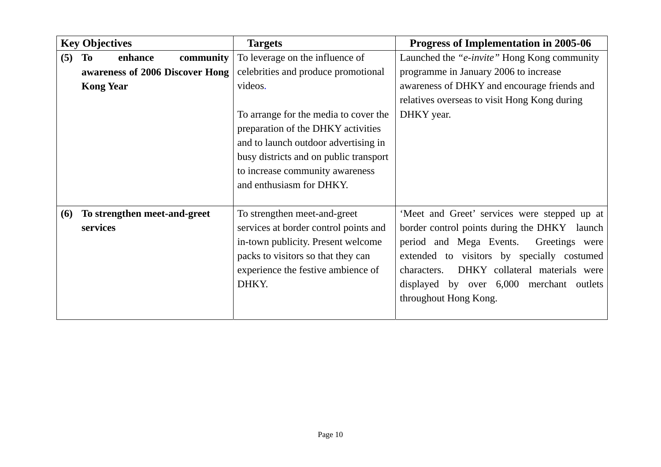|     | <b>Key Objectives</b>                                                                    | <b>Targets</b>                                                                                                                                                                                                                                                                                                    | Progress of Implementation in 2005-06                                                                                                                                                                                                                                                                         |
|-----|------------------------------------------------------------------------------------------|-------------------------------------------------------------------------------------------------------------------------------------------------------------------------------------------------------------------------------------------------------------------------------------------------------------------|---------------------------------------------------------------------------------------------------------------------------------------------------------------------------------------------------------------------------------------------------------------------------------------------------------------|
| (5) | enhance<br><b>community</b><br>To<br>awareness of 2006 Discover Hong<br><b>Kong Year</b> | To leverage on the influence of<br>celebrities and produce promotional<br>videos.<br>To arrange for the media to cover the<br>preparation of the DHKY activities<br>and to launch outdoor advertising in<br>busy districts and on public transport<br>to increase community awareness<br>and enthusiasm for DHKY. | Launched the " <i>e-invite</i> " Hong Kong community<br>programme in January 2006 to increase<br>awareness of DHKY and encourage friends and<br>relatives overseas to visit Hong Kong during<br>DHKY year.                                                                                                    |
| (6) | To strengthen meet-and-greet<br>services                                                 | To strengthen meet-and-greet<br>services at border control points and<br>in-town publicity. Present welcome<br>packs to visitors so that they can<br>experience the festive ambience of<br>DHKY.                                                                                                                  | 'Meet and Greet' services were stepped up at<br>border control points during the DHKY launch<br>period and Mega Events.<br>Greetings were<br>extended to visitors by specially costumed<br>DHKY collateral materials were<br>characters.<br>displayed by over 6,000 merchant outlets<br>throughout Hong Kong. |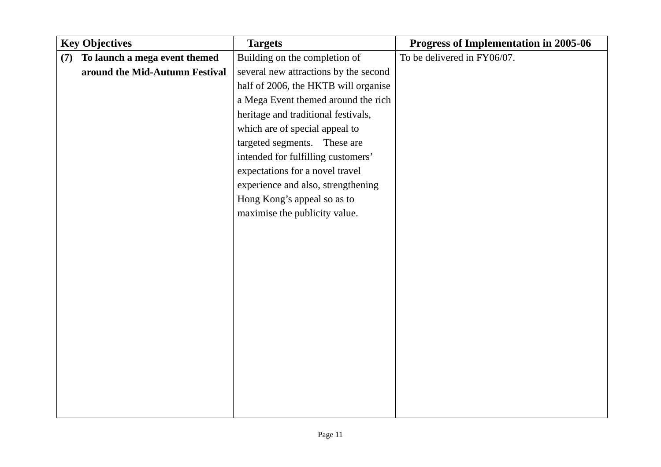| <b>Key Objectives</b> |                                | <b>Targets</b>                        | Progress of Implementation in 2005-06 |
|-----------------------|--------------------------------|---------------------------------------|---------------------------------------|
| (7)                   | To launch a mega event themed  | Building on the completion of         | To be delivered in FY06/07.           |
|                       | around the Mid-Autumn Festival | several new attractions by the second |                                       |
|                       |                                | half of 2006, the HKTB will organise  |                                       |
|                       |                                | a Mega Event themed around the rich   |                                       |
|                       |                                | heritage and traditional festivals,   |                                       |
|                       |                                | which are of special appeal to        |                                       |
|                       |                                | targeted segments. These are          |                                       |
|                       |                                | intended for fulfilling customers'    |                                       |
|                       |                                | expectations for a novel travel       |                                       |
|                       |                                | experience and also, strengthening    |                                       |
|                       |                                | Hong Kong's appeal so as to           |                                       |
|                       |                                | maximise the publicity value.         |                                       |
|                       |                                |                                       |                                       |
|                       |                                |                                       |                                       |
|                       |                                |                                       |                                       |
|                       |                                |                                       |                                       |
|                       |                                |                                       |                                       |
|                       |                                |                                       |                                       |
|                       |                                |                                       |                                       |
|                       |                                |                                       |                                       |
|                       |                                |                                       |                                       |
|                       |                                |                                       |                                       |
|                       |                                |                                       |                                       |
|                       |                                |                                       |                                       |
|                       |                                |                                       |                                       |
|                       |                                |                                       |                                       |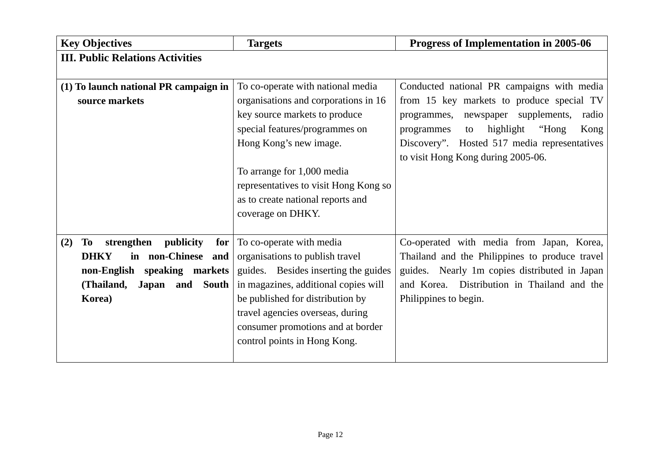| <b>Key Objectives</b>                                                                                                                                                 | <b>Targets</b>                                                                                                                                                                                                                                                                                          | Progress of Implementation in 2005-06                                                                                                                                                                                                                                              |
|-----------------------------------------------------------------------------------------------------------------------------------------------------------------------|---------------------------------------------------------------------------------------------------------------------------------------------------------------------------------------------------------------------------------------------------------------------------------------------------------|------------------------------------------------------------------------------------------------------------------------------------------------------------------------------------------------------------------------------------------------------------------------------------|
| <b>III. Public Relations Activities</b>                                                                                                                               |                                                                                                                                                                                                                                                                                                         |                                                                                                                                                                                                                                                                                    |
| (1) To launch national PR campaign in<br>source markets                                                                                                               | To co-operate with national media<br>organisations and corporations in 16<br>key source markets to produce<br>special features/programmes on<br>Hong Kong's new image.<br>To arrange for 1,000 media<br>representatives to visit Hong Kong so<br>as to create national reports and<br>coverage on DHKY. | Conducted national PR campaigns with media<br>from 15 key markets to produce special TV<br>newspaper supplements,<br>programmes,<br>radio<br>highlight<br>"Hong"<br>Kong<br>programmes<br>to<br>Discovery". Hosted 517 media representatives<br>to visit Hong Kong during 2005-06. |
| publicity<br>strengthen<br>(2)<br>To<br>for $ $<br><b>DHKY</b><br>non-Chinese and<br>in<br>non-English speaking markets<br>(Thailand,<br>and South<br>Japan<br>Korea) | To co-operate with media<br>organisations to publish travel<br>guides. Besides inserting the guides<br>in magazines, additional copies will<br>be published for distribution by<br>travel agencies overseas, during<br>consumer promotions and at border<br>control points in Hong Kong.                | Co-operated with media from Japan, Korea,<br>Thailand and the Philippines to produce travel<br>guides. Nearly 1m copies distributed in Japan<br>and Korea. Distribution in Thailand and the<br>Philippines to begin.                                                               |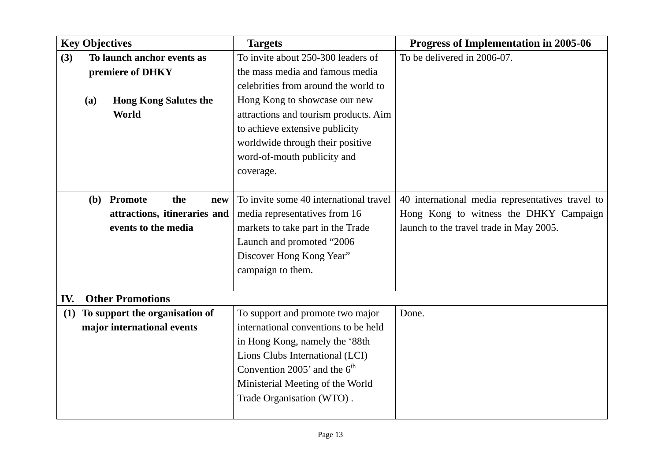|     | <b>Key Objectives</b>                                                                          | <b>Targets</b>                                                                                                                                                                                                                                                                                            | Progress of Implementation in 2005-06                                                                                                 |
|-----|------------------------------------------------------------------------------------------------|-----------------------------------------------------------------------------------------------------------------------------------------------------------------------------------------------------------------------------------------------------------------------------------------------------------|---------------------------------------------------------------------------------------------------------------------------------------|
| (3) | To launch anchor events as<br>premiere of DHKY<br><b>Hong Kong Salutes the</b><br>(a)<br>World | To invite about 250-300 leaders of<br>the mass media and famous media<br>celebrities from around the world to<br>Hong Kong to showcase our new<br>attractions and tourism products. Aim<br>to achieve extensive publicity<br>worldwide through their positive<br>word-of-mouth publicity and<br>coverage. | To be delivered in 2006-07.                                                                                                           |
|     | (b) Promote<br>the<br>new<br>attractions, itineraries and<br>events to the media               | To invite some 40 international travel<br>media representatives from 16<br>markets to take part in the Trade<br>Launch and promoted "2006<br>Discover Hong Kong Year"<br>campaign to them.                                                                                                                | 40 international media representatives travel to<br>Hong Kong to witness the DHKY Campaign<br>launch to the travel trade in May 2005. |
| IV. | <b>Other Promotions</b>                                                                        |                                                                                                                                                                                                                                                                                                           |                                                                                                                                       |
| (1) | To support the organisation of<br>major international events                                   | To support and promote two major<br>international conventions to be held<br>in Hong Kong, namely the '88th<br>Lions Clubs International (LCI)<br>Convention 2005' and the $6th$<br>Ministerial Meeting of the World<br>Trade Organisation (WTO).                                                          | Done.                                                                                                                                 |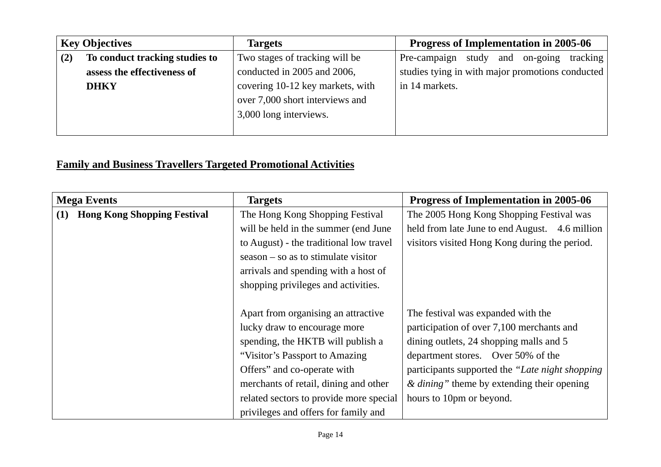|     | <b>Key Objectives</b>          | <b>Targets</b>                   | Progress of Implementation in 2005-06            |
|-----|--------------------------------|----------------------------------|--------------------------------------------------|
| (2) | To conduct tracking studies to | Two stages of tracking will be   | Pre-campaign study<br>and on-going<br>tracking   |
|     | assess the effectiveness of    | conducted in 2005 and 2006,      | studies tying in with major promotions conducted |
|     | <b>DHKY</b>                    | covering 10-12 key markets, with | in 14 markets.                                   |
|     |                                | over 7,000 short interviews and  |                                                  |
|     |                                | 3,000 long interviews.           |                                                  |
|     |                                |                                  |                                                  |

# **Family and Business Travellers Targeted Promotional Activities**

| <b>Mega Events</b>                        | <b>Targets</b>                          | Progress of Implementation in 2005-06           |
|-------------------------------------------|-----------------------------------------|-------------------------------------------------|
| <b>Hong Kong Shopping Festival</b><br>(1) | The Hong Kong Shopping Festival         | The 2005 Hong Kong Shopping Festival was        |
|                                           | will be held in the summer (end June    | held from late June to end August. 4.6 million  |
|                                           | to August) - the traditional low travel | visitors visited Hong Kong during the period.   |
|                                           | $season - so as to stimulate visitor$   |                                                 |
|                                           | arrivals and spending with a host of    |                                                 |
|                                           | shopping privileges and activities.     |                                                 |
|                                           |                                         |                                                 |
|                                           | Apart from organising an attractive     | The festival was expanded with the              |
|                                           | lucky draw to encourage more            | participation of over 7,100 merchants and       |
|                                           | spending, the HKTB will publish a       | dining outlets, 24 shopping malls and 5         |
|                                           | "Visitor's Passport to Amazing          | department stores. Over 50% of the              |
|                                           | Offers" and co-operate with             | participants supported the "Late night shopping |
|                                           | merchants of retail, dining and other   | $\&$ dining" theme by extending their opening   |
|                                           | related sectors to provide more special | hours to 10pm or beyond.                        |
|                                           | privileges and offers for family and    |                                                 |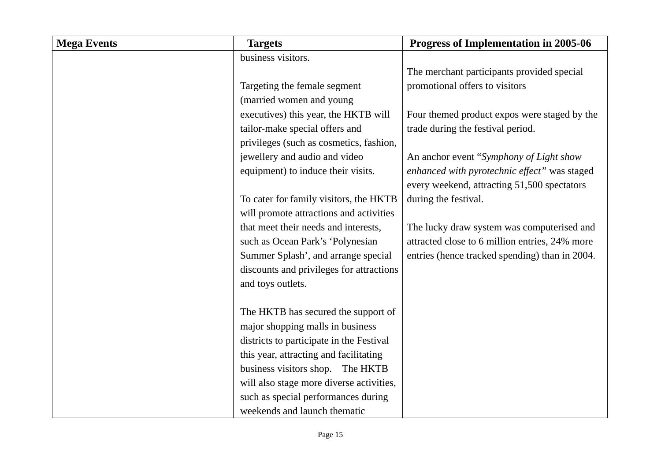| <b>Mega Events</b> | <b>Targets</b>                           | Progress of Implementation in 2005-06          |
|--------------------|------------------------------------------|------------------------------------------------|
|                    | business visitors.                       |                                                |
|                    |                                          | The merchant participants provided special     |
|                    | Targeting the female segment             | promotional offers to visitors                 |
|                    | (married women and young                 |                                                |
|                    | executives) this year, the HKTB will     | Four themed product expos were staged by the   |
|                    | tailor-make special offers and           | trade during the festival period.              |
|                    | privileges (such as cosmetics, fashion,  |                                                |
|                    | jewellery and audio and video            | An anchor event "Symphony of Light show        |
|                    | equipment) to induce their visits.       | enhanced with pyrotechnic effect" was staged   |
|                    |                                          | every weekend, attracting 51,500 spectators    |
|                    | To cater for family visitors, the HKTB   | during the festival.                           |
|                    | will promote attractions and activities  |                                                |
|                    | that meet their needs and interests,     | The lucky draw system was computerised and     |
|                    | such as Ocean Park's 'Polynesian         | attracted close to 6 million entries, 24% more |
|                    | Summer Splash', and arrange special      | entries (hence tracked spending) than in 2004. |
|                    | discounts and privileges for attractions |                                                |
|                    | and toys outlets.                        |                                                |
|                    |                                          |                                                |
|                    | The HKTB has secured the support of      |                                                |
|                    | major shopping malls in business         |                                                |
|                    | districts to participate in the Festival |                                                |
|                    | this year, attracting and facilitating   |                                                |
|                    | business visitors shop. The HKTB         |                                                |
|                    | will also stage more diverse activities, |                                                |
|                    | such as special performances during      |                                                |
|                    | weekends and launch thematic             |                                                |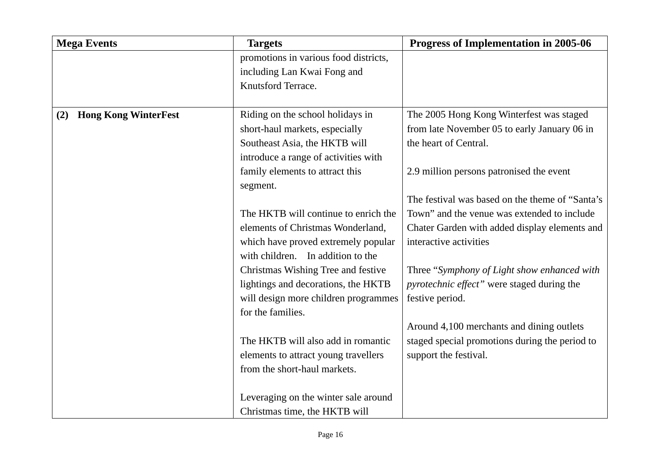| <b>Mega Events</b>                 | <b>Targets</b>                        | Progress of Implementation in 2005-06           |
|------------------------------------|---------------------------------------|-------------------------------------------------|
|                                    | promotions in various food districts, |                                                 |
|                                    | including Lan Kwai Fong and           |                                                 |
|                                    | Knutsford Terrace.                    |                                                 |
|                                    |                                       |                                                 |
| <b>Hong Kong WinterFest</b><br>(2) | Riding on the school holidays in      | The 2005 Hong Kong Winterfest was staged        |
|                                    | short-haul markets, especially        | from late November 05 to early January 06 in    |
|                                    | Southeast Asia, the HKTB will         | the heart of Central.                           |
|                                    | introduce a range of activities with  |                                                 |
|                                    | family elements to attract this       | 2.9 million persons patronised the event        |
|                                    | segment.                              |                                                 |
|                                    |                                       | The festival was based on the theme of "Santa's |
|                                    | The HKTB will continue to enrich the  | Town" and the venue was extended to include     |
|                                    | elements of Christmas Wonderland,     | Chater Garden with added display elements and   |
|                                    | which have proved extremely popular   | interactive activities                          |
|                                    | with children. In addition to the     |                                                 |
|                                    | Christmas Wishing Tree and festive    | Three "Symphony of Light show enhanced with     |
|                                    | lightings and decorations, the HKTB   | pyrotechnic effect" were staged during the      |
|                                    | will design more children programmes  | festive period.                                 |
|                                    | for the families.                     |                                                 |
|                                    |                                       | Around 4,100 merchants and dining outlets       |
|                                    | The HKTB will also add in romantic    | staged special promotions during the period to  |
|                                    | elements to attract young travellers  | support the festival.                           |
|                                    | from the short-haul markets.          |                                                 |
|                                    |                                       |                                                 |
|                                    | Leveraging on the winter sale around  |                                                 |
|                                    | Christmas time, the HKTB will         |                                                 |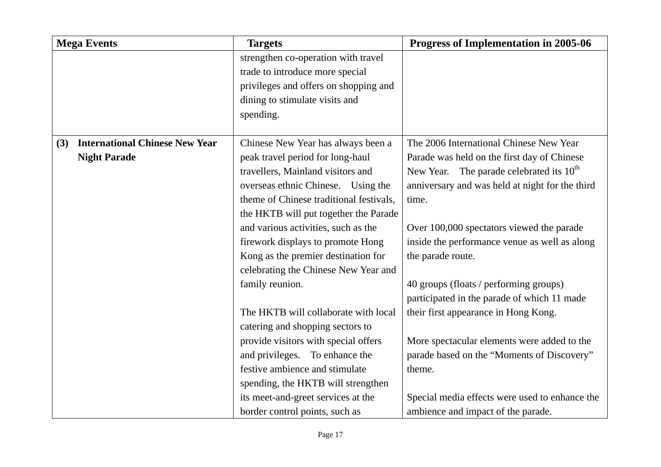| <b>Mega Events</b>                           | <b>Targets</b>                          | Progress of Implementation in 2005-06                |
|----------------------------------------------|-----------------------------------------|------------------------------------------------------|
|                                              | strengthen co-operation with travel     |                                                      |
|                                              | trade to introduce more special         |                                                      |
|                                              | privileges and offers on shopping and   |                                                      |
|                                              | dining to stimulate visits and          |                                                      |
|                                              | spending.                               |                                                      |
|                                              |                                         |                                                      |
| <b>International Chinese New Year</b><br>(3) | Chinese New Year has always been a      | The 2006 International Chinese New Year              |
| <b>Night Parade</b>                          | peak travel period for long-haul        | Parade was held on the first day of Chinese          |
|                                              | travellers, Mainland visitors and       | New Year. The parade celebrated its 10 <sup>th</sup> |
|                                              | overseas ethnic Chinese. Using the      | anniversary and was held at night for the third      |
|                                              | theme of Chinese traditional festivals, | time.                                                |
|                                              | the HKTB will put together the Parade   |                                                      |
|                                              | and various activities, such as the     | Over 100,000 spectators viewed the parade            |
|                                              | firework displays to promote Hong       | inside the performance venue as well as along        |
|                                              | Kong as the premier destination for     | the parade route.                                    |
|                                              | celebrating the Chinese New Year and    |                                                      |
|                                              | family reunion.                         | 40 groups (floats / performing groups)               |
|                                              |                                         | participated in the parade of which 11 made          |
|                                              | The HKTB will collaborate with local    | their first appearance in Hong Kong.                 |
|                                              | catering and shopping sectors to        |                                                      |
|                                              | provide visitors with special offers    | More spectacular elements were added to the          |
|                                              | and privileges. To enhance the          | parade based on the "Moments of Discovery"           |
|                                              | festive ambience and stimulate          | theme.                                               |
|                                              | spending, the HKTB will strengthen      |                                                      |
|                                              | its meet-and-greet services at the      | Special media effects were used to enhance the       |
|                                              | border control points, such as          | ambience and impact of the parade.                   |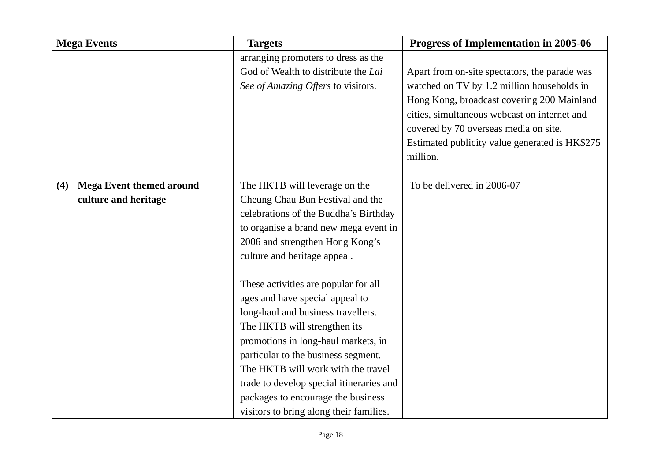| <b>Mega Events</b>                                             | <b>Targets</b>                                                                                                                                                                                                                                                                                                                                                                                 | Progress of Implementation in 2005-06                                                                                                                                                                                                                                                            |
|----------------------------------------------------------------|------------------------------------------------------------------------------------------------------------------------------------------------------------------------------------------------------------------------------------------------------------------------------------------------------------------------------------------------------------------------------------------------|--------------------------------------------------------------------------------------------------------------------------------------------------------------------------------------------------------------------------------------------------------------------------------------------------|
|                                                                | arranging promoters to dress as the<br>God of Wealth to distribute the Lai<br>See of Amazing Offers to visitors.                                                                                                                                                                                                                                                                               | Apart from on-site spectators, the parade was<br>watched on TV by 1.2 million households in<br>Hong Kong, broadcast covering 200 Mainland<br>cities, simultaneous webcast on internet and<br>covered by 70 overseas media on site.<br>Estimated publicity value generated is HK\$275<br>million. |
| <b>Mega Event themed around</b><br>(4)<br>culture and heritage | The HKTB will leverage on the<br>Cheung Chau Bun Festival and the<br>celebrations of the Buddha's Birthday<br>to organise a brand new mega event in<br>2006 and strengthen Hong Kong's<br>culture and heritage appeal.                                                                                                                                                                         | To be delivered in 2006-07                                                                                                                                                                                                                                                                       |
|                                                                | These activities are popular for all<br>ages and have special appeal to<br>long-haul and business travellers.<br>The HKTB will strengthen its<br>promotions in long-haul markets, in<br>particular to the business segment.<br>The HKTB will work with the travel<br>trade to develop special itineraries and<br>packages to encourage the business<br>visitors to bring along their families. |                                                                                                                                                                                                                                                                                                  |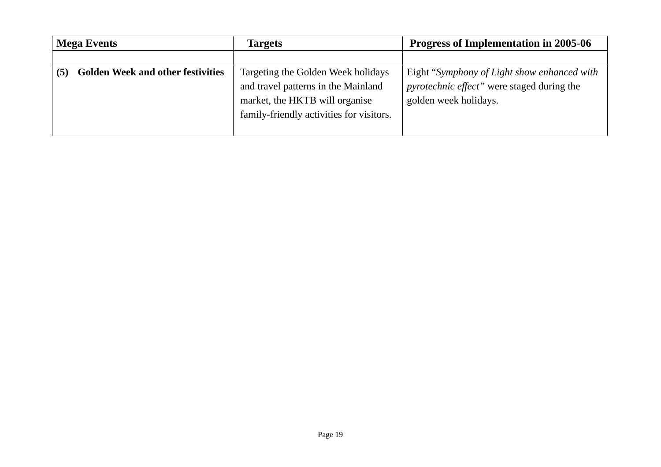| <b>Mega Events</b>                       | <b>Targets</b>                           | <b>Progress of Implementation in 2005-06</b>       |
|------------------------------------------|------------------------------------------|----------------------------------------------------|
|                                          |                                          |                                                    |
| <b>Golden Week and other festivities</b> | Targeting the Golden Week holidays       | Eight "Symphony of Light show enhanced with        |
|                                          | and travel patterns in the Mainland      | <i>pyrotechnic effect</i> " were staged during the |
|                                          | market, the HKTB will organise           | golden week holidays.                              |
|                                          | family-friendly activities for visitors. |                                                    |
|                                          |                                          |                                                    |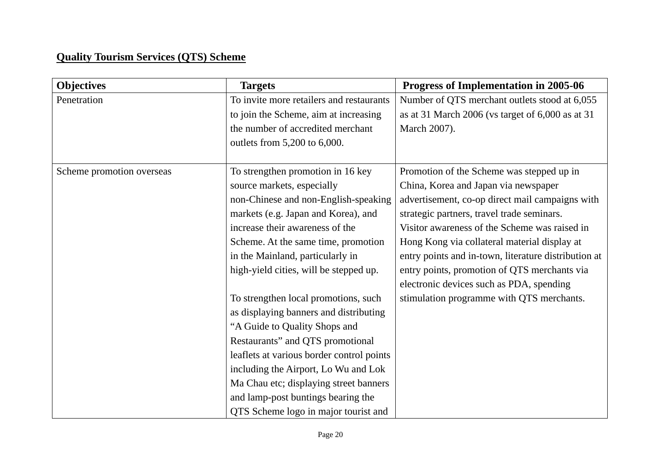## **Quality Tourism Services (QTS) Scheme**

| <b>Objectives</b>         | <b>Targets</b>                            | Progress of Implementation in 2005-06                |
|---------------------------|-------------------------------------------|------------------------------------------------------|
| Penetration               | To invite more retailers and restaurants  | Number of QTS merchant outlets stood at 6,055        |
|                           | to join the Scheme, aim at increasing     | as at 31 March 2006 (vs target of 6,000 as at 31     |
|                           | the number of accredited merchant         | March 2007).                                         |
|                           | outlets from 5,200 to 6,000.              |                                                      |
| Scheme promotion overseas | To strengthen promotion in 16 key         | Promotion of the Scheme was stepped up in            |
|                           | source markets, especially                | China, Korea and Japan via newspaper                 |
|                           | non-Chinese and non-English-speaking      | advertisement, co-op direct mail campaigns with      |
|                           | markets (e.g. Japan and Korea), and       | strategic partners, travel trade seminars.           |
|                           | increase their awareness of the           | Visitor awareness of the Scheme was raised in        |
|                           | Scheme. At the same time, promotion       | Hong Kong via collateral material display at         |
|                           | in the Mainland, particularly in          | entry points and in-town, literature distribution at |
|                           | high-yield cities, will be stepped up.    | entry points, promotion of QTS merchants via         |
|                           |                                           | electronic devices such as PDA, spending             |
|                           | To strengthen local promotions, such      | stimulation programme with QTS merchants.            |
|                           | as displaying banners and distributing    |                                                      |
|                           | "A Guide to Quality Shops and             |                                                      |
|                           | Restaurants" and QTS promotional          |                                                      |
|                           | leaflets at various border control points |                                                      |
|                           | including the Airport, Lo Wu and Lok      |                                                      |
|                           | Ma Chau etc; displaying street banners    |                                                      |
|                           | and lamp-post buntings bearing the        |                                                      |
|                           | QTS Scheme logo in major tourist and      |                                                      |